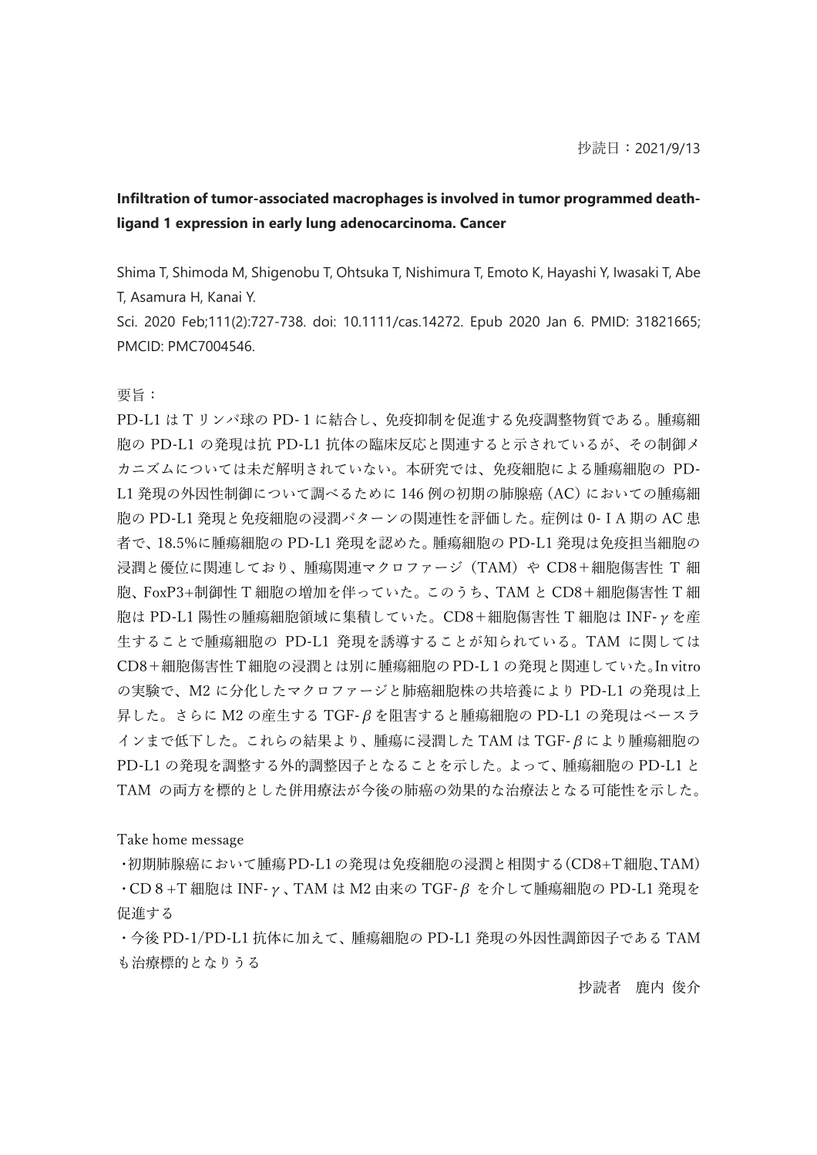## **Infiltration of tumor-associated macrophages is involved in tumor programmed deathligand 1 expression in early lung adenocarcinoma. Cancer**

Shima T, Shimoda M, Shigenobu T, Ohtsuka T, Nishimura T, Emoto K, Hayashi Y, Iwasaki T, Abe T, Asamura H, Kanai Y.

Sci. 2020 Feb;111(2):727-738. doi: 10.1111/cas.14272. Epub 2020 Jan 6. PMID: 31821665; PMCID: PMC7004546.

要旨:

PD-L1 は T リンパ球の PD-1に結合し、免疫抑制を促進する免疫調整物質である。腫瘍細 胞の PD-L1 の発現は抗 PD-L1 抗体の臨床反応と関連すると示されているが、その制御メ カニズムについては未だ解明されていない。本研究では、免疫細胞による腫瘍細胞の PD-L1 発現の外因性制御について調べるために 146 例の初期の肺腺癌(AC)においての腫瘍細 胞の PD-L1 発現と免疫細胞の浸潤パターンの関連性を評価した。症例は 0-ⅠA 期の AC 患 者で、18.5%に腫瘍細胞の PD-L1 発現を認めた。腫瘍細胞の PD-L1 発現は免疫担当細胞の 浸潤と優位に関連しており、腫瘍関連マクロファージ(TAM)や CD8+細胞傷害性 T 細 胞、FoxP3+制御性 T 細胞の増加を伴っていた。このうち、TAM と CD8+細胞傷害性 T 細 胞は PD-L1 陽性の腫瘍細胞領域に集積していた。CD8+細胞傷害性 T 細胞は INF-γを産 生することで腫瘍細胞の PD-L1 発現を誘導することが知られている。TAM に関しては CD8+細胞傷害性 T 細胞の浸潤とは別に腫瘍細胞の PD-L1の発現と関連していた。In vitro の実験で、M2 に分化したマクロファージと肺癌細胞株の共培養により PD-L1 の発現は上 昇した。さらに M2 の産生する TGF-βを阻害すると腫瘍細胞の PD-L1 の発現はベースラ インまで低下した。これらの結果より、腫瘍に浸潤した TAM は TGF-βにより腫瘍細胞の PD-L1 の発現を調整する外的調整因子となることを示した。よって、腫瘍細胞の PD-L1 と TAM の両方を標的とした併用療法が今後の肺癌の効果的な治療法となる可能性を示した。

Take home message

・初期肺腺癌において腫瘍PD-L1の発現は免疫細胞の浸潤と相関する(CD8+T細胞、TAM) ・CD8+T 細胞は INF-γ、TAM は M2 由来の TGF-β を介して腫瘍細胞の PD-L1 発現を 促進する

・今後 PD-1/PD-L1 抗体に加えて、腫瘍細胞の PD-L1 発現の外因性調節因子である TAM も治療標的となりうる

抄読者 鹿内 俊介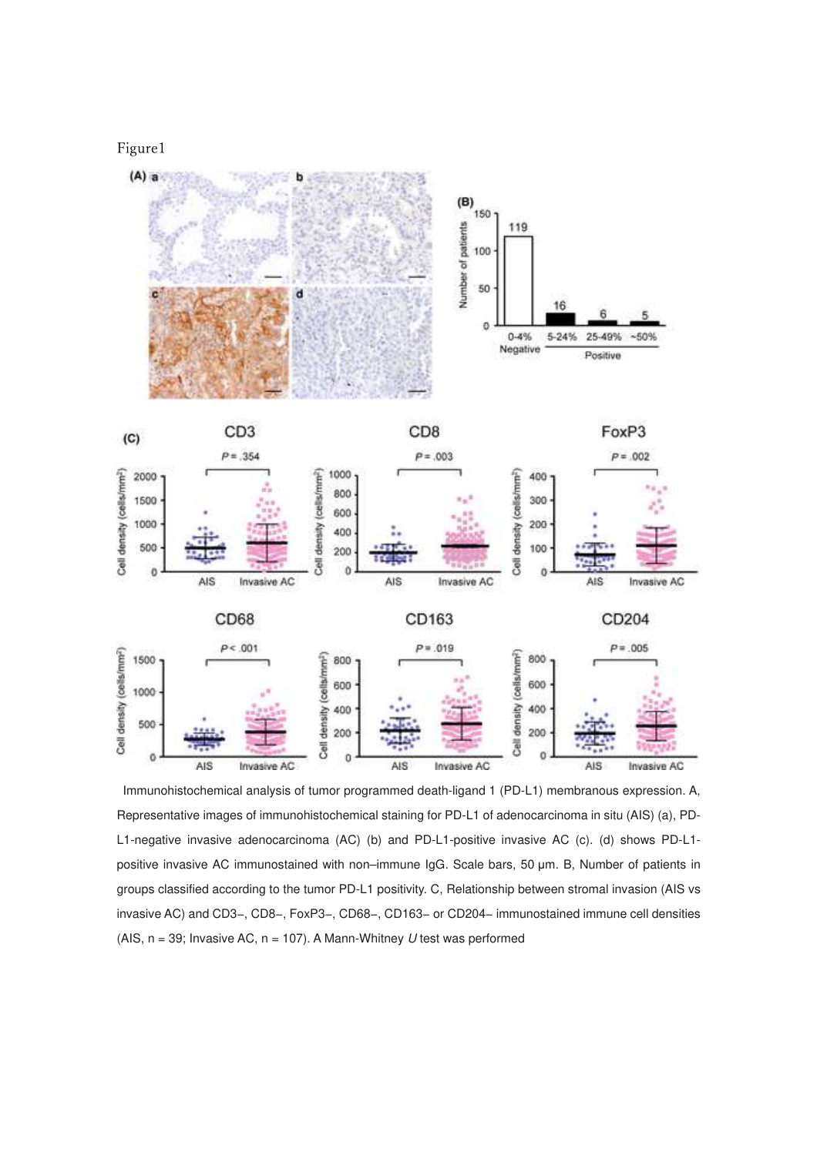Figure1



Immunohistochemical analysis of tumor programmed death-ligand 1 (PD-L1) membranous expression. A, Representative images of immunohistochemical staining for PD-L1 of adenocarcinoma in situ (AIS) (a), PD-L1-negative invasive adenocarcinoma (AC) (b) and PD-L1-positive invasive AC (c). (d) shows PD-L1 positive invasive AC immunostained with non–immune IgG. Scale bars, 50 μm. B, Number of patients in groups classified according to the tumor PD-L1 positivity. C, Relationship between stromal invasion (AIS vs invasive AC) and CD3−, CD8−, FoxP3−, CD68−, CD163− or CD204− immunostained immune cell densities (AIS,  $n = 39$ ; Invasive AC,  $n = 107$ ). A Mann-Whitney U test was performed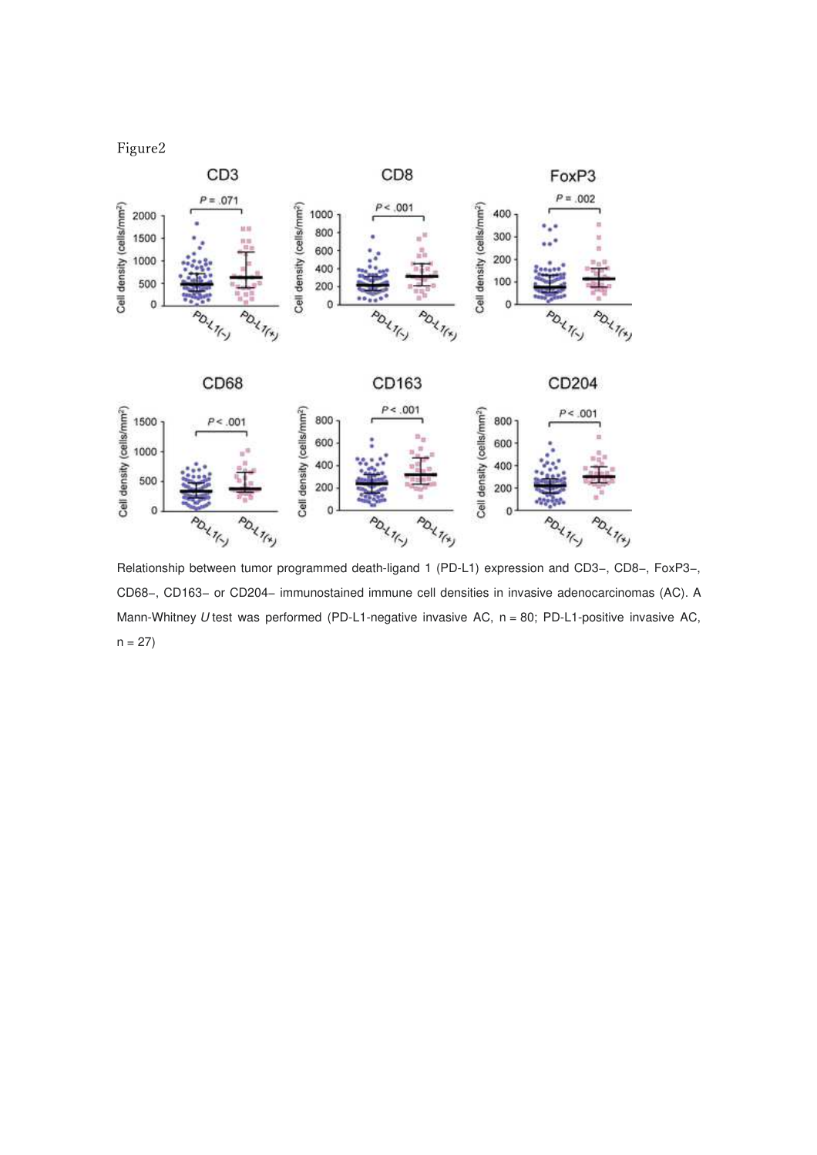



Relationship between tumor programmed death-ligand 1 (PD-L1) expression and CD3−, CD8−, FoxP3−, CD68−, CD163− or CD204− immunostained immune cell densities in invasive adenocarcinomas (AC). A Mann-Whitney U test was performed (PD-L1-negative invasive AC, n = 80; PD-L1-positive invasive AC,  $n = 27$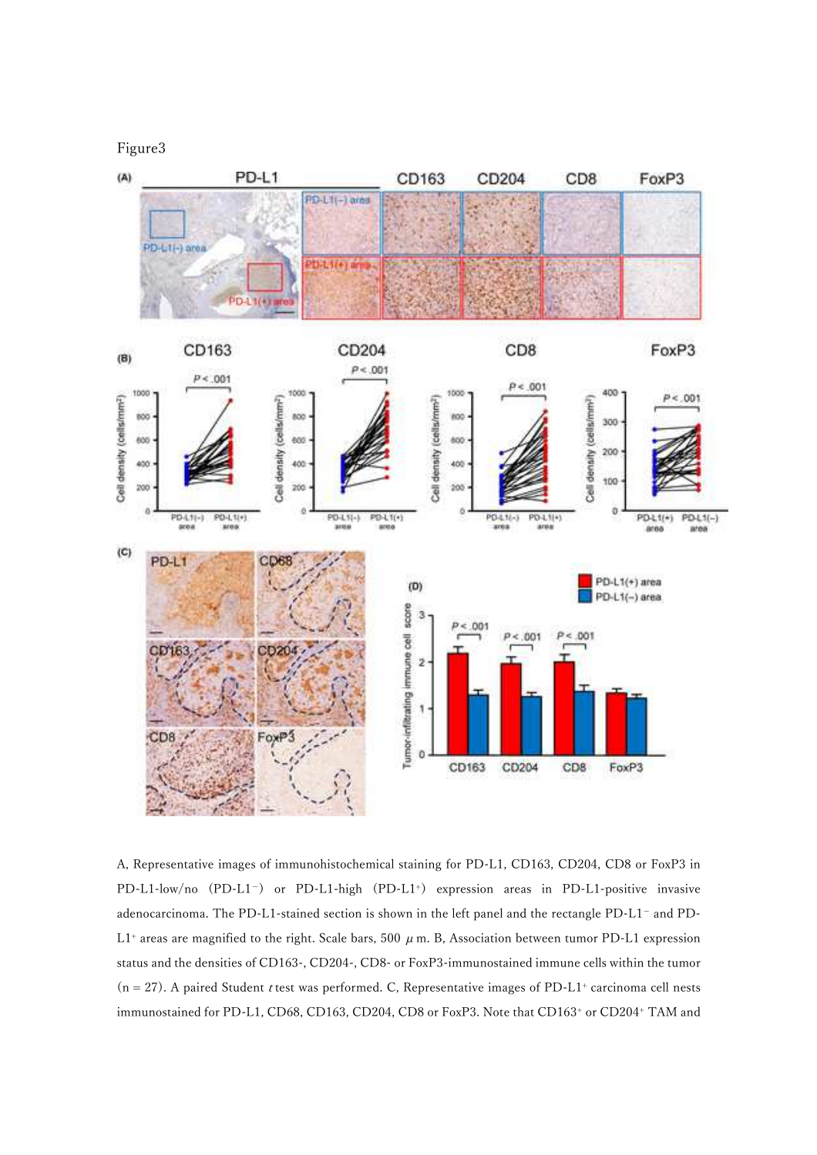Figure3



A, Representative images of immunohistochemical staining for PD-L1, CD163, CD204, CD8 or FoxP3 in PD-L1-low/no (PD-L1<sup>-</sup>) or PD-L1-high (PD-L1<sup>+</sup>) expression areas in PD-L1-positive invasive adenocarcinoma. The PD-L1-stained section is shown in the left panel and the rectangle PD-L1− and PD-L1<sup>+</sup> areas are magnified to the right. Scale bars, 500  $\mu$  m. B, Association between tumor PD-L1 expression status and the densities of CD163-, CD204-, CD8- or FoxP3-immunostained immune cells within the tumor  $(n = 27)$ . A paired Student *t* test was performed. C, Representative images of PD-L1<sup>+</sup> carcinoma cell nests immunostained for PD-L1, CD68, CD163, CD204, CD8 or FoxP3. Note that CD163<sup>+</sup> or CD204<sup>+</sup> TAM and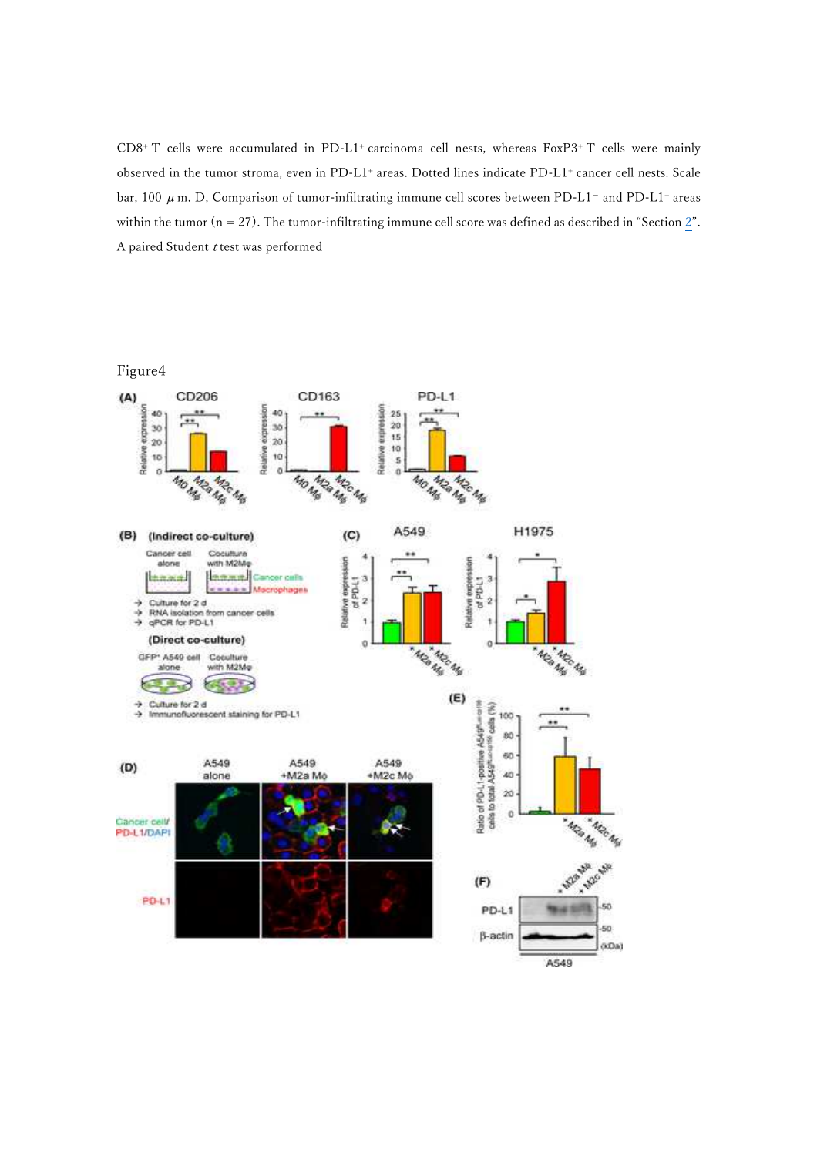CD8<sup>+</sup> T cells were accumulated in PD-L1<sup>+</sup> carcinoma cell nests, whereas FoxP3<sup>+</sup> T cells were mainly observed in the tumor stroma, even in PD-L1<sup>+</sup> areas. Dotted lines indicate PD-L1<sup>+</sup> cancer cell nests. Scale bar, 100  $\mu$  m. D, Comparison of tumor-infiltrating immune cell scores between PD-L1<sup>-</sup> and PD-L1<sup>+</sup> areas within the tumor ( $n = 27$ ). The tumor-infiltrating immune cell score was defined as described in "Section 2". A paired Student  $t$  test was performed

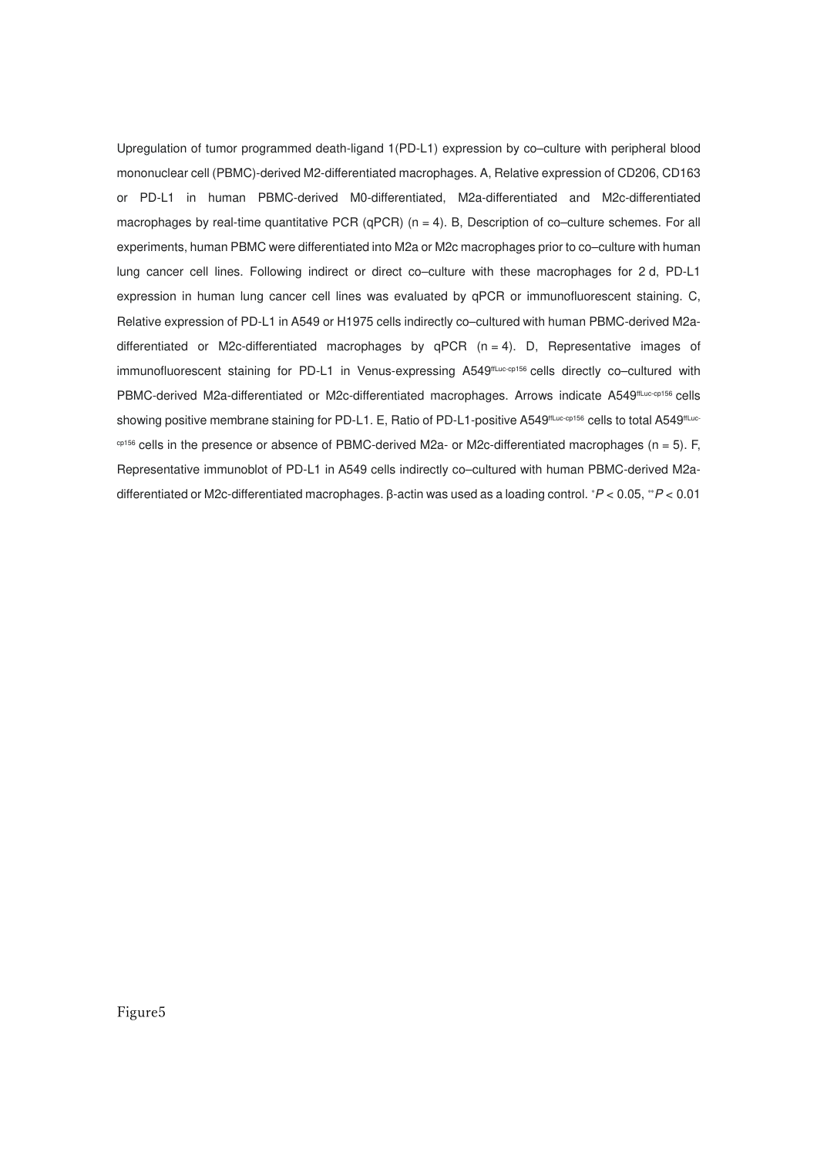Upregulation of tumor programmed death-ligand 1(PD-L1) expression by co–culture with peripheral blood mononuclear cell (PBMC)-derived M2-differentiated macrophages. A, Relative expression of CD206, CD163 or PD-L1 in human PBMC-derived M0-differentiated, M2a-differentiated and M2c-differentiated macrophages by real-time quantitative PCR (qPCR)  $(n = 4)$ . B, Description of co–culture schemes. For all experiments, human PBMC were differentiated into M2a or M2c macrophages prior to co–culture with human lung cancer cell lines. Following indirect or direct co–culture with these macrophages for 2 d, PD-L1 expression in human lung cancer cell lines was evaluated by qPCR or immunofluorescent staining. C, Relative expression of PD-L1 in A549 or H1975 cells indirectly co–cultured with human PBMC-derived M2adifferentiated or M2c-differentiated macrophages by  $qPCR$  ( $n = 4$ ). D, Representative images of immunofluorescent staining for PD-L1 in Venus-expressing A549#Luc-cp156 cells directly co-cultured with PBMC-derived M2a-differentiated or M2c-differentiated macrophages. Arrows indicate A549ffLuc-cp156 cells showing positive membrane staining for PD-L1. E, Ratio of PD-L1-positive A549#Luc-cp156 cells to total A549#Luccp156 cells in the presence or absence of PBMC-derived M2a- or M2c-differentiated macrophages (n = 5). F, Representative immunoblot of PD-L1 in A549 cells indirectly co–cultured with human PBMC-derived M2adifferentiated or M2c-differentiated macrophages. β-actin was used as a loading control. ∗P < 0.05, ∗∗P < 0.01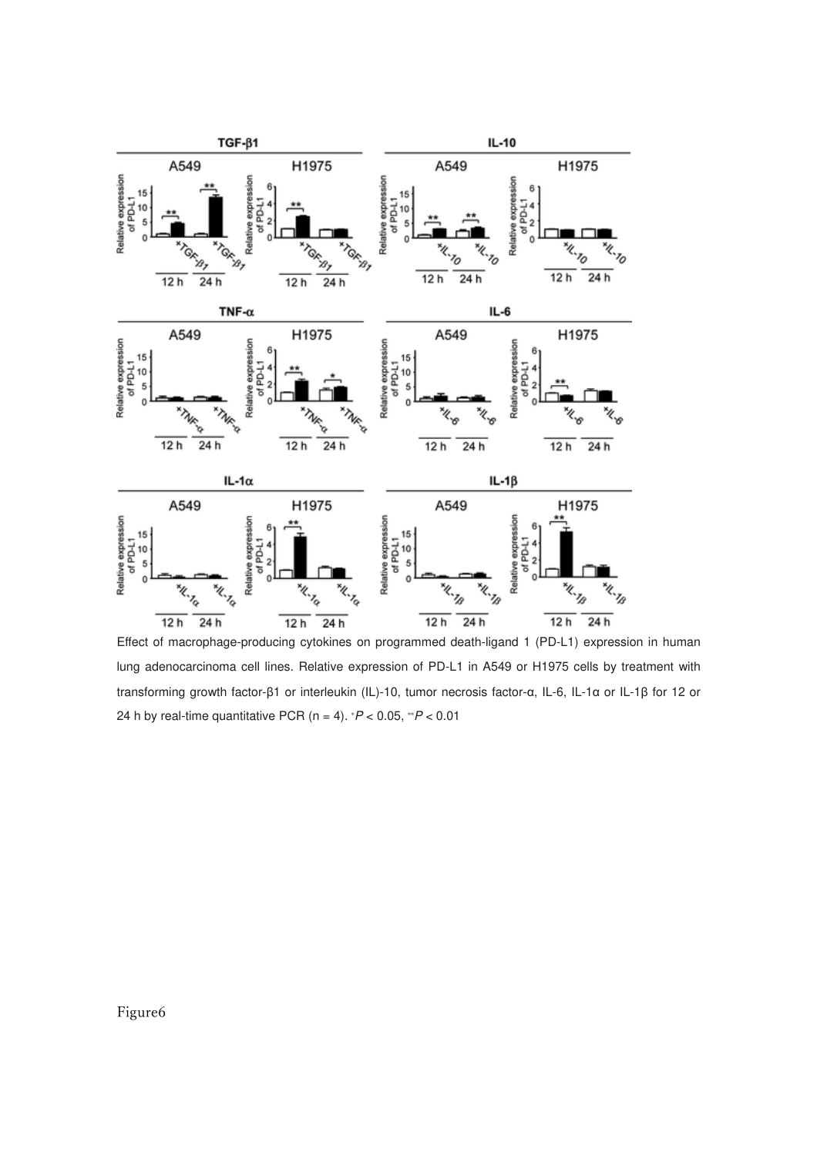

Effect of macrophage-producing cytokines on programmed death-ligand 1 (PD-L1) expression in human lung adenocarcinoma cell lines. Relative expression of PD-L1 in A549 or H1975 cells by treatment with transforming growth factor-β1 or interleukin (IL)-10, tumor necrosis factor-α, IL-6, IL-1α or IL-1β for 12 or 24 h by real-time quantitative PCR (n = 4).  $P < 0.05$ ,  $P < 0.01$